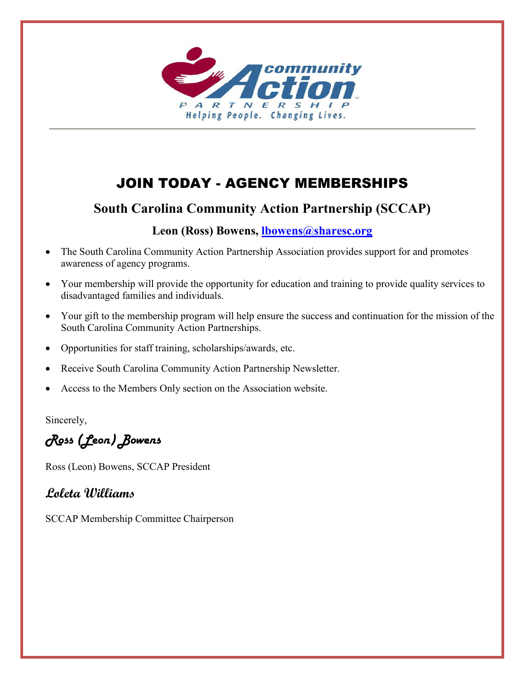

# JOIN TODAY - AGENCY MEMBERSHIPS

## **South Carolina Community Action Partnership (SCCAP)**

## **Leon (Ross) Bowens, [lbowens@sharesc.org](mailto:lbowens@sharesc.org)**

- The South Carolina Community Action Partnership Association provides support for and promotes awareness of agency programs.
- Your membership will provide the opportunity for education and training to provide quality services to disadvantaged families and individuals.
- Your gift to the membership program will help ensure the success and continuation for the mission of the South Carolina Community Action Partnerships.
- Opportunities for staff training, scholarships/awards, etc.
- Receive South Carolina Community Action Partnership Newsletter.
- Access to the Members Only section on the Association website.

Sincerely,

Ross (Leon) Bowens

Ross (Leon) Bowens, SCCAP President

## **Loleta Williams**

SCCAP Membership Committee Chairperson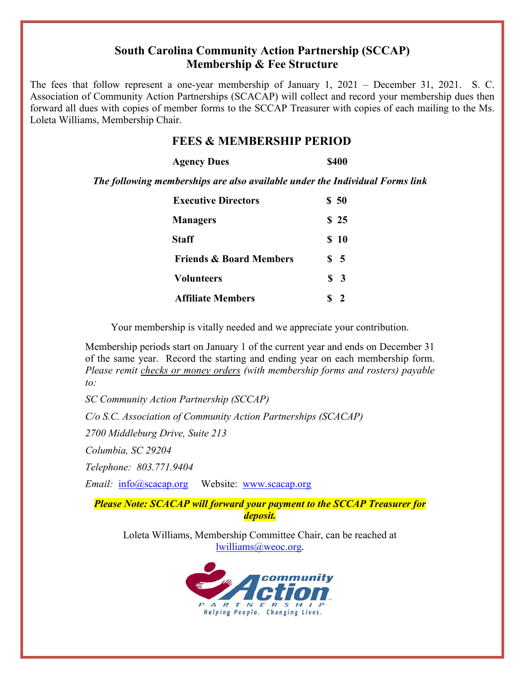## **South Carolina Community Action Partnership (SCCAP) Membership & Fee Structure**

The fees that follow represent a one-year membership of January 1, 2021 – December 31, 2021. S. C. Association of Community Action Partnerships (SCACAP) will collect and record your membership dues then forward all dues with copies of member forms to the SCCAP Treasurer with copies of each mailing to the Ms. Loleta Williams, Membership Chair.

### **FEES & MEMBERSHIP PERIOD**

| <b>Agency Dues</b> | <b>\$400</b> |
|--------------------|--------------|
|                    |              |

*The following memberships are also available under the Individual Forms link*

| <b>Executive Directors</b>         | \$50             |
|------------------------------------|------------------|
| <b>Managers</b>                    | \$25             |
| <b>Staff</b>                       | \$10             |
| <b>Friends &amp; Board Members</b> | $\frac{1}{2}$ 5  |
| <b>Volunteers</b>                  | $\frac{1}{2}$    |
| <b>Affiliate Members</b>           | $\boldsymbol{Z}$ |

Your membership is vitally needed and we appreciate your contribution.

Membership periods start on January 1 of the current year and ends on December 31 of the same year. Record the starting and ending year on each membership form. *Please remit checks or money orders (with membership forms and rosters) payable to:*

*SC Community Action Partnership (SCCAP)*

*C/o S.C. Association of Community Action Partnerships (SCACAP)*

*2700 Middleburg Drive, Suite 213*

*Columbia, SC 29204* 

*Telephone: 803.771.9404*

*Email:* [info@scacap.org](mailto:info@scacap.org) Website: [www.scacap.org](http://www.scacap.org/)

*Please Note: SCACAP will forward your payment to the SCCAP Treasurer for deposit.*

Loleta Williams, Membership Committee Chair, can be reached at [lwilliams@weoc.org.](mailto:lwilliams@weoc.org)